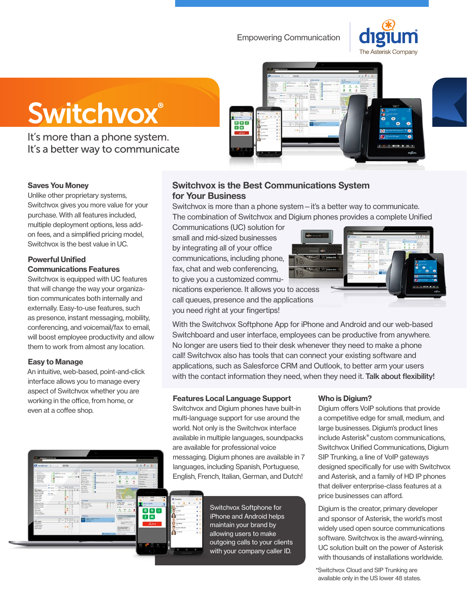# Empowering Communication





It's more than a phone system. It's a better way to communicate



#### Saves You Money

Unlike other proprietary systems, Switchvox gives you more value for your purchase. With all features included, multiple deployment options, less addon fees, and a simplified pricing model, Switchvox is the best value in UC.

### Powerful Unified Communications Features

Switchvox is equipped with UC features that will change the way your organization communicates both internally and externally. Easy-to-use features, such as presence, instant messaging, mobility, conferencing, and voicemail/fax to email, will boost employee productivity and allow them to work from almost any location.

#### Easy to Manage

An intuitive, web-based, point-and-click interface allows you to manage every aspect of Switchvox whether you are working in the office, from home, or even at a coffee shop.



## **Switchvox is the Best Communications System for Your Business**

Switchvox is more than a phone system—it's a better way to communicate. The combination of Switchvox and Digium phones provides a complete Unified

Communications (UC) solution for small and mid-sized businesses by integrating all of your office communications, including phone, fax, chat and web conferencing, to give you a customized commu-

nications experience. It allows you to access call queues, presence and the applications you need right at your fingertips!

With the Switchvox Softphone App for iPhone and Android and our web-based Switchboard and user interface, employees can be productive from anywhere. No longer are users tied to their desk whenever they need to make a phone call! Switchvox also has tools that can connect your existing software and applications, such as Salesforce CRM and Outlook, to better arm your users with the contact information they need, when they need it. Talk about flexibility!

### Features Local Language Support

Switchvox and Digium phones have built-in multi-language support for use around the world. Not only is the Switchvox interface available in multiple languages, soundpacks are available for professional voice messaging. Digium phones are available in 7 languages, including Spanish, Portuguese, English, French, Italian, German, and Dutch!



#### Who is Digium?

Digium offers VoIP solutions that provide a competitive edge for small, medium, and large businesses. Digium's product lines include Asterisk® custom communications, Switchvox Unified Communications, Digium SIP Trunking, a line of VoIP gateways designed specifically for use with Switchvox and Asterisk, and a family of HD IP phones that deliver enterprise-class features at a price businesses can afford.

Digium is the creator, primary developer and sponsor of Asterisk, the world's most widely used open source communications software. Switchvox is the award-winning, UC solution built on the power of Asterisk with thousands of installations worldwide.

\*Switchvox Cloud and SIP Trunking are available only in the US lower 48 states.